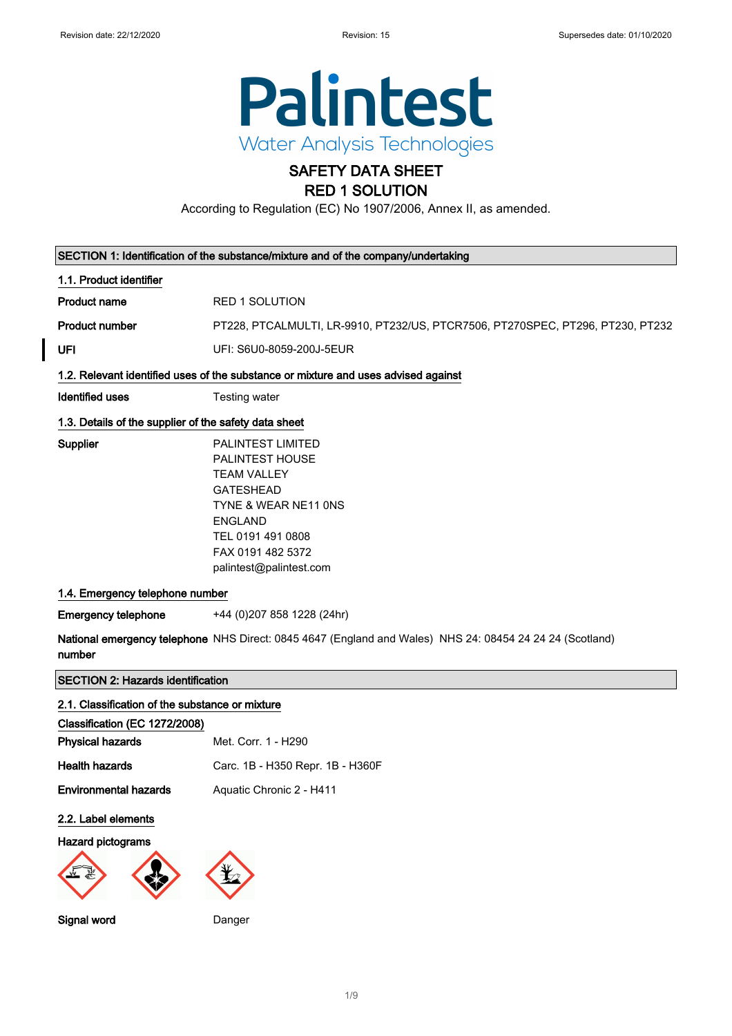

## SAFETY DATA SHEET RED 1 SOLUTION

According to Regulation (EC) No 1907/2006, Annex II, as amended.

|                                                       | SECTION 1: Identification of the substance/mixture and of the company/undertaking                                                                                                                    |
|-------------------------------------------------------|------------------------------------------------------------------------------------------------------------------------------------------------------------------------------------------------------|
| 1.1. Product identifier                               |                                                                                                                                                                                                      |
| <b>Product name</b>                                   | <b>RED 1 SOLUTION</b>                                                                                                                                                                                |
| <b>Product number</b>                                 | PT228, PTCALMULTI, LR-9910, PT232/US, PTCR7506, PT270SPEC, PT296, PT230, PT232                                                                                                                       |
| UFI                                                   | UFI: S6U0-8059-200J-5EUR                                                                                                                                                                             |
|                                                       | 1.2. Relevant identified uses of the substance or mixture and uses advised against                                                                                                                   |
| <b>Identified uses</b>                                | <b>Testing water</b>                                                                                                                                                                                 |
| 1.3. Details of the supplier of the safety data sheet |                                                                                                                                                                                                      |
| Supplier                                              | <b>PALINTEST LIMITED</b><br>PALINTEST HOUSE<br><b>TEAM VALLEY</b><br><b>GATESHEAD</b><br>TYNE & WEAR NE11 ONS<br><b>ENGLAND</b><br>TEL 0191 491 0808<br>FAX 0191 482 5372<br>palintest@palintest.com |
| 1.4. Emergency telephone number                       |                                                                                                                                                                                                      |
| <b>Emergency telephone</b>                            | +44 (0) 207 858 1228 (24hr)                                                                                                                                                                          |
| number                                                | National emergency telephone NHS Direct: 0845 4647 (England and Wales) NHS 24: 08454 24 24 24 (Scotland)                                                                                             |
| <b>SECTION 2: Hazards identification</b>              |                                                                                                                                                                                                      |
| 2.1. Classification of the substance or mixture       |                                                                                                                                                                                                      |
| Classification (EC 1272/2008)                         |                                                                                                                                                                                                      |
| <b>Physical hazards</b>                               | Met. Corr. 1 - H290                                                                                                                                                                                  |
| <b>Health hazards</b>                                 | Carc. 1B - H350 Repr. 1B - H360F                                                                                                                                                                     |
| <b>Environmental hazards</b>                          | Aquatic Chronic 2 - H411                                                                                                                                                                             |
| 2.2. Label elements                                   |                                                                                                                                                                                                      |

#### Hazard pictograms



Signal word Danger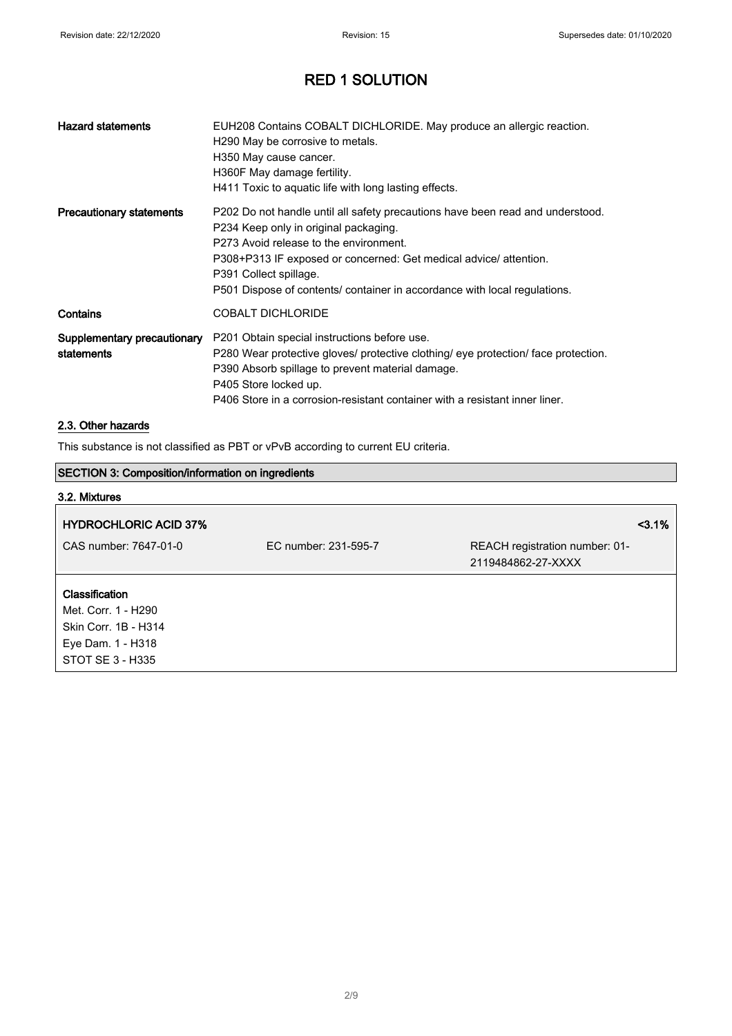| <b>Hazard statements</b>                  | EUH208 Contains COBALT DICHLORIDE. May produce an allergic reaction.<br>H290 May be corrosive to metals.<br>H350 May cause cancer.<br>H360F May damage fertility.<br>H411 Toxic to aquatic life with long lasting effects.                                                                                                                    |
|-------------------------------------------|-----------------------------------------------------------------------------------------------------------------------------------------------------------------------------------------------------------------------------------------------------------------------------------------------------------------------------------------------|
| <b>Precautionary statements</b>           | P202 Do not handle until all safety precautions have been read and understood.<br>P234 Keep only in original packaging.<br>P273 Avoid release to the environment.<br>P308+P313 IF exposed or concerned: Get medical advice/ attention.<br>P391 Collect spillage.<br>P501 Dispose of contents/ container in accordance with local regulations. |
| Contains                                  | <b>COBALT DICHLORIDE</b>                                                                                                                                                                                                                                                                                                                      |
| Supplementary precautionary<br>statements | P201 Obtain special instructions before use.<br>P280 Wear protective gloves/ protective clothing/ eye protection/ face protection.<br>P390 Absorb spillage to prevent material damage.<br>P405 Store locked up.<br>P406 Store in a corrosion-resistant container with a resistant inner liner.                                                |

### 2.3. Other hazards

This substance is not classified as PBT or vPvB according to current EU criteria.

#### SECTION 3: Composition/information on ingredients

| 3.2. Mixtures                |                      |                                |      |
|------------------------------|----------------------|--------------------------------|------|
| <b>HYDROCHLORIC ACID 37%</b> |                      |                                | 3.1% |
| CAS number: 7647-01-0        | EC number: 231-595-7 | REACH registration number: 01- |      |
|                              |                      | 2119484862-27-XXXX             |      |
| <b>Classification</b>        |                      |                                |      |
| Met. Corr. 1 - H290          |                      |                                |      |
| Skin Corr. 1B - H314         |                      |                                |      |
| Eye Dam. 1 - H318            |                      |                                |      |
| STOT SE 3 - H335             |                      |                                |      |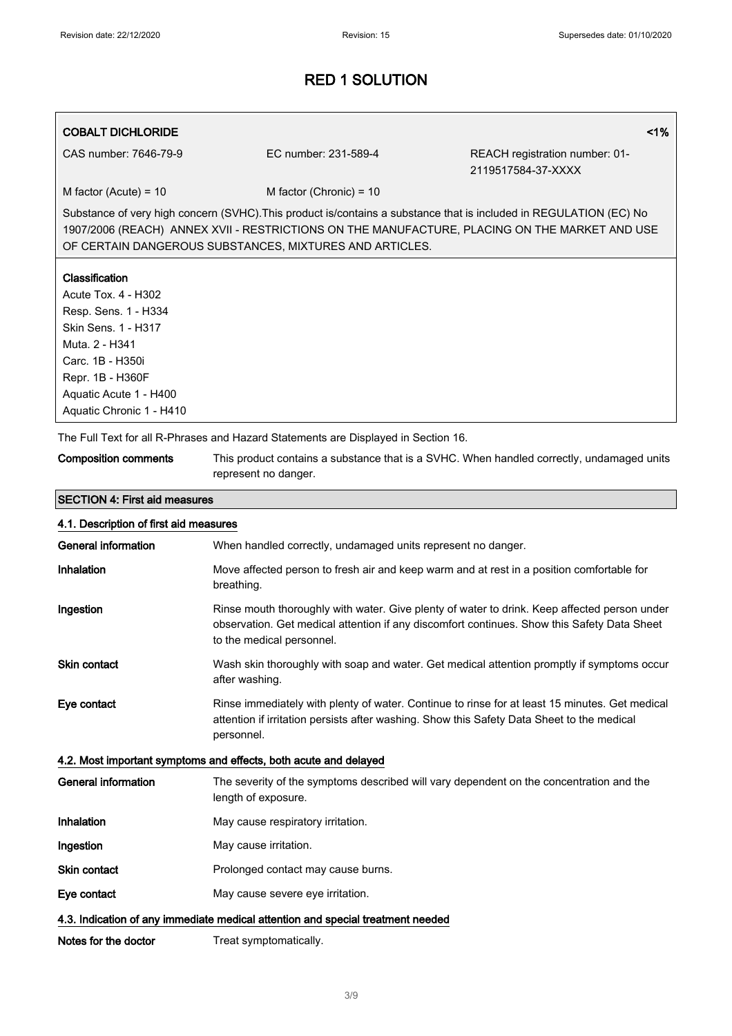#### COBALT DICHLORIDE <1%

CAS number: 7646-79-9 EC number: 231-589-4 REACH registration number: 01- 2119517584-37-XXXX

 $M$  factor (Acute) = 10 M factor (Chronic) = 10

Substance of very high concern (SVHC).This product is/contains a substance that is included in REGULATION (EC) No 1907/2006 (REACH) ANNEX XVII - RESTRICTIONS ON THE MANUFACTURE, PLACING ON THE MARKET AND USE OF CERTAIN DANGEROUS SUBSTANCES, MIXTURES AND ARTICLES.

#### Classification

Acute Tox. 4 - H302 Resp. Sens. 1 - H334 Skin Sens. 1 - H317 Muta. 2 - H341 Carc. 1B - H350i Repr. 1B - H360F Aquatic Acute 1 - H400 Aquatic Chronic 1 - H410

SECTION 4: First aid measures

The Full Text for all R-Phrases and Hazard Statements are Displayed in Section 16.

| <b>Composition comments</b> | This product contains a substance that is a SVHC. When handled correctly, undamaged units |
|-----------------------------|-------------------------------------------------------------------------------------------|
|                             | represent no danger.                                                                      |

# 4.1. Description of first aid measures General information **When handled correctly, undamaged units represent no danger.** Inhalation Move affected person to fresh air and keep warm and at rest in a position comfortable for breathing. Ingestion **Rinse mouth thoroughly with water. Give plenty of water to drink. Keep affected person under** observation. Get medical attention if any discomfort continues. Show this Safety Data Sheet to the medical personnel. Skin contact **Wash skin thoroughly with soap and water. Get medical attention promptly if symptoms occur** after washing.

Eye contact Rinse immediately with plenty of water. Continue to rinse for at least 15 minutes. Get medical attention if irritation persists after washing. Show this Safety Data Sheet to the medical personnel.

#### 4.2. Most important symptoms and effects, both acute and delayed

General information The severity of the symptoms described will vary dependent on the concentration and the length of exposure. Inhalation May cause respiratory irritation. **Ingestion** May cause irritation. Skin contact **Prolonged contact may cause burns.** Eye contact May cause severe eye irritation.

### 4.3. Indication of any immediate medical attention and special treatment needed

Notes for the doctor Treat symptomatically.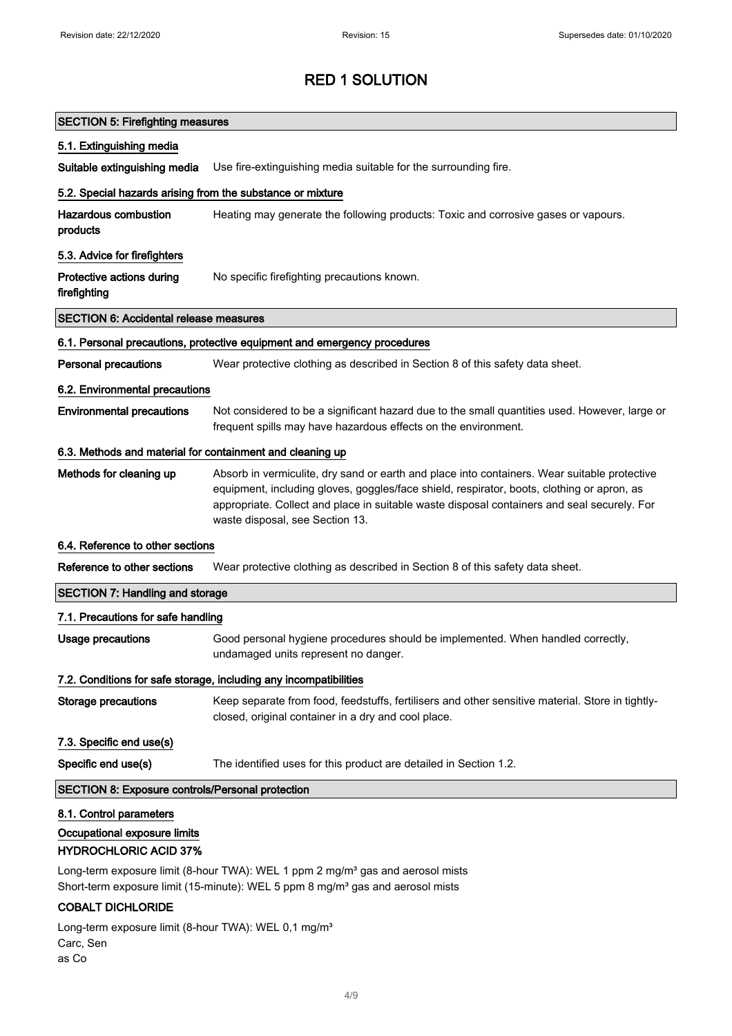| <b>SECTION 5: Firefighting measures</b>                                                            |                                                                                                                                                                                                                                                                                                                              |
|----------------------------------------------------------------------------------------------------|------------------------------------------------------------------------------------------------------------------------------------------------------------------------------------------------------------------------------------------------------------------------------------------------------------------------------|
| 5.1. Extinguishing media                                                                           |                                                                                                                                                                                                                                                                                                                              |
| Suitable extinguishing media                                                                       | Use fire-extinguishing media suitable for the surrounding fire.                                                                                                                                                                                                                                                              |
| 5.2. Special hazards arising from the substance or mixture                                         |                                                                                                                                                                                                                                                                                                                              |
| <b>Hazardous combustion</b><br>products                                                            | Heating may generate the following products: Toxic and corrosive gases or vapours.                                                                                                                                                                                                                                           |
| 5.3. Advice for firefighters                                                                       |                                                                                                                                                                                                                                                                                                                              |
| Protective actions during<br>firefighting                                                          | No specific firefighting precautions known.                                                                                                                                                                                                                                                                                  |
| <b>SECTION 6: Accidental release measures</b>                                                      |                                                                                                                                                                                                                                                                                                                              |
|                                                                                                    | 6.1. Personal precautions, protective equipment and emergency procedures                                                                                                                                                                                                                                                     |
| <b>Personal precautions</b>                                                                        | Wear protective clothing as described in Section 8 of this safety data sheet.                                                                                                                                                                                                                                                |
| 6.2. Environmental precautions                                                                     |                                                                                                                                                                                                                                                                                                                              |
| <b>Environmental precautions</b>                                                                   | Not considered to be a significant hazard due to the small quantities used. However, large or<br>frequent spills may have hazardous effects on the environment.                                                                                                                                                              |
| 6.3. Methods and material for containment and cleaning up                                          |                                                                                                                                                                                                                                                                                                                              |
| Methods for cleaning up                                                                            | Absorb in vermiculite, dry sand or earth and place into containers. Wear suitable protective<br>equipment, including gloves, goggles/face shield, respirator, boots, clothing or apron, as<br>appropriate. Collect and place in suitable waste disposal containers and seal securely. For<br>waste disposal, see Section 13. |
| 6.4. Reference to other sections                                                                   |                                                                                                                                                                                                                                                                                                                              |
| Reference to other sections                                                                        | Wear protective clothing as described in Section 8 of this safety data sheet.                                                                                                                                                                                                                                                |
| <b>SECTION 7: Handling and storage</b>                                                             |                                                                                                                                                                                                                                                                                                                              |
| 7.1. Precautions for safe handling                                                                 |                                                                                                                                                                                                                                                                                                                              |
| <b>Usage precautions</b>                                                                           | Good personal hygiene procedures should be implemented. When handled correctly,<br>undamaged units represent no danger.                                                                                                                                                                                                      |
|                                                                                                    | 7.2. Conditions for safe storage, including any incompatibilities                                                                                                                                                                                                                                                            |
| <b>Storage precautions</b>                                                                         | Keep separate from food, feedstuffs, fertilisers and other sensitive material. Store in tightly-<br>closed, original container in a dry and cool place.                                                                                                                                                                      |
| 7.3. Specific end use(s)                                                                           |                                                                                                                                                                                                                                                                                                                              |
| Specific end use(s)                                                                                | The identified uses for this product are detailed in Section 1.2.                                                                                                                                                                                                                                                            |
| <b>SECTION 8: Exposure controls/Personal protection</b>                                            |                                                                                                                                                                                                                                                                                                                              |
| 8.1. Control parameters<br>Occupational exposure limits<br><b>HYDROCHLORIC ACID 37%</b>            |                                                                                                                                                                                                                                                                                                                              |
|                                                                                                    | Long-term exposure limit (8-hour TWA): WEL 1 ppm 2 mg/m <sup>3</sup> gas and aerosol mists<br>Short-term exposure limit (15-minute): WEL 5 ppm 8 mg/m <sup>3</sup> gas and aerosol mists                                                                                                                                     |
| <b>COBALT DICHLORIDE</b><br>$1$ ong-term exposure limit $(8-h_0)r$ TWA): WEL 0.1 mg/m <sup>3</sup> |                                                                                                                                                                                                                                                                                                                              |

Long-term exposure limit (8-hour TWA): WEL 0,1 mg/m<sup>3</sup> Carc, Sen as Co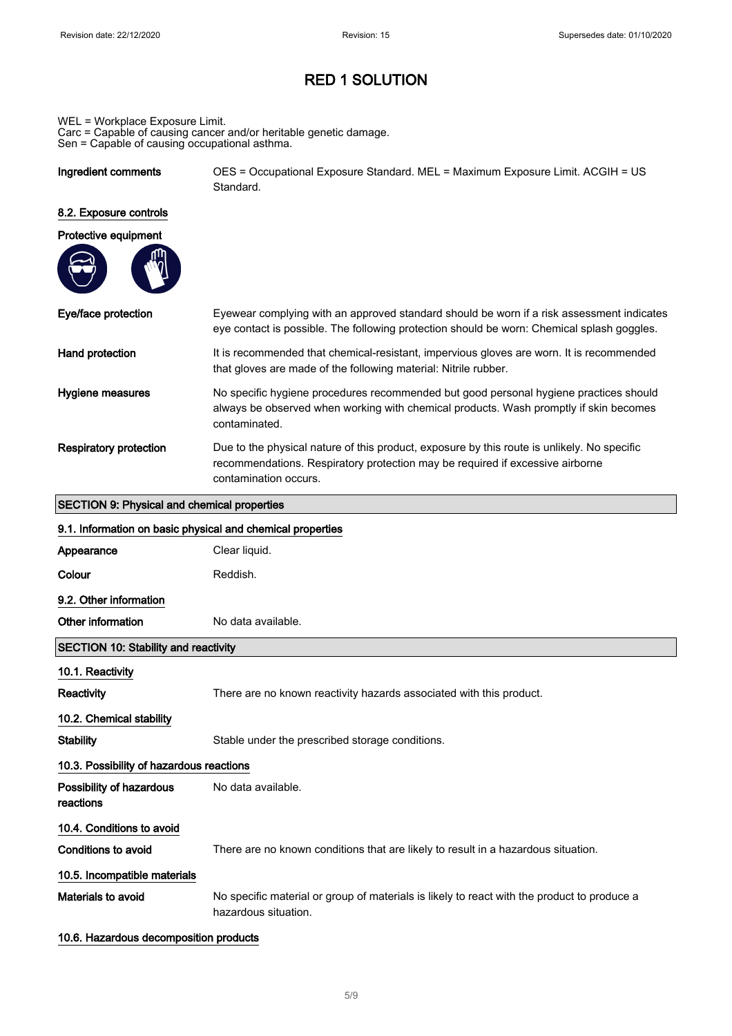WEL = Workplace Exposure Limit.

Carc = Capable of causing cancer and/or heritable genetic damage. Sen = Capable of causing occupational asthma.

| Ingredient comments | OES = Occupational Exposure Standard. MEL = Maximum Exposure Limit. ACGIH = US |
|---------------------|--------------------------------------------------------------------------------|
|                     | Standard.                                                                      |

## 8.2. Exposure controls

| Protective equipment |  |  |
|----------------------|--|--|
|                      |  |  |

| Eye/face protection           | Eyewear complying with an approved standard should be worn if a risk assessment indicates<br>eye contact is possible. The following protection should be worn: Chemical splash goggles.               |
|-------------------------------|-------------------------------------------------------------------------------------------------------------------------------------------------------------------------------------------------------|
| Hand protection               | It is recommended that chemical-resistant, impervious gloves are worn. It is recommended<br>that gloves are made of the following material: Nitrile rubber.                                           |
| Hygiene measures              | No specific hygiene procedures recommended but good personal hygiene practices should<br>always be observed when working with chemical products. Wash promptly if skin becomes<br>contaminated.       |
| <b>Respiratory protection</b> | Due to the physical nature of this product, exposure by this route is unlikely. No specific<br>recommendations. Respiratory protection may be required if excessive airborne<br>contamination occurs. |

#### SECTION 9: Physical and chemical properties

| 9.1. Information on basic physical and chemical properties |                                                                                                                     |
|------------------------------------------------------------|---------------------------------------------------------------------------------------------------------------------|
| Appearance                                                 | Clear liquid.                                                                                                       |
| Colour                                                     | Reddish.                                                                                                            |
| 9.2. Other information                                     |                                                                                                                     |
| Other information                                          | No data available.                                                                                                  |
| <b>SECTION 10: Stability and reactivity</b>                |                                                                                                                     |
| 10.1. Reactivity                                           |                                                                                                                     |
| <b>Reactivity</b>                                          | There are no known reactivity hazards associated with this product.                                                 |
| 10.2. Chemical stability                                   |                                                                                                                     |
| <b>Stability</b>                                           | Stable under the prescribed storage conditions.                                                                     |
| 10.3. Possibility of hazardous reactions                   |                                                                                                                     |
| Possibility of hazardous<br>reactions                      | No data available.                                                                                                  |
| 10.4. Conditions to avoid                                  |                                                                                                                     |
| Conditions to avoid                                        | There are no known conditions that are likely to result in a hazardous situation.                                   |
| 10.5. Incompatible materials                               |                                                                                                                     |
| Materials to avoid                                         | No specific material or group of materials is likely to react with the product to produce a<br>hazardous situation. |

#### 10.6. Hazardous decomposition products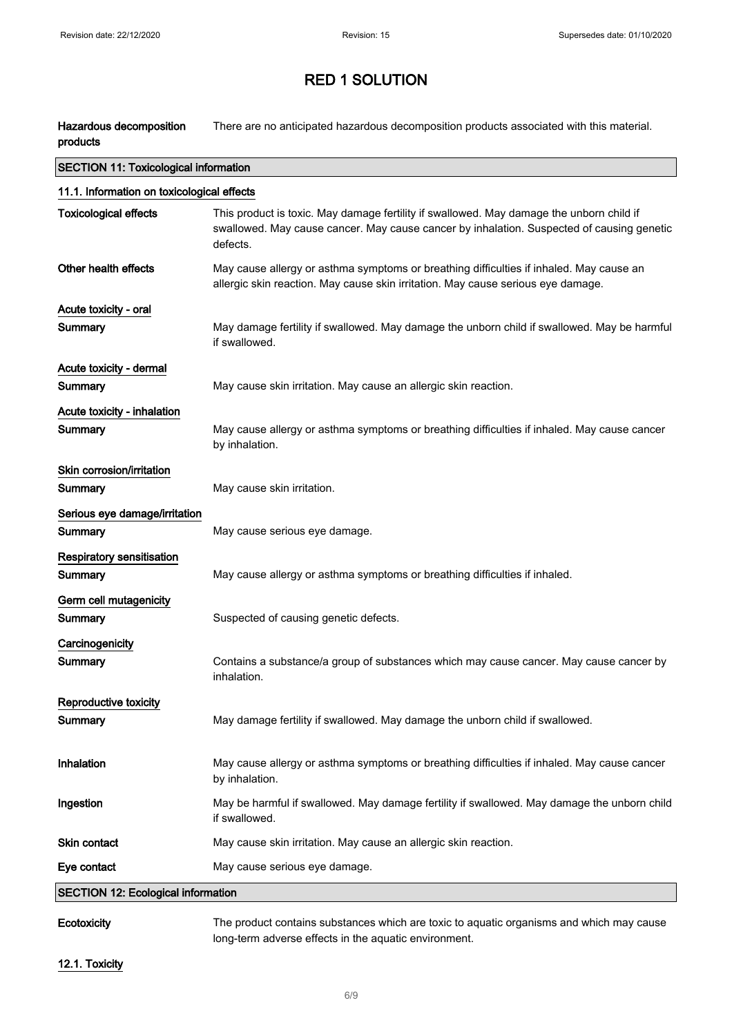Hazardous decomposition products There are no anticipated hazardous decomposition products associated with this material.

| <b>SECTION 11: Toxicological information</b> |                                                                                                                                                                                                   |  |
|----------------------------------------------|---------------------------------------------------------------------------------------------------------------------------------------------------------------------------------------------------|--|
| 11.1. Information on toxicological effects   |                                                                                                                                                                                                   |  |
| <b>Toxicological effects</b>                 | This product is toxic. May damage fertility if swallowed. May damage the unborn child if<br>swallowed. May cause cancer. May cause cancer by inhalation. Suspected of causing genetic<br>defects. |  |
| Other health effects                         | May cause allergy or asthma symptoms or breathing difficulties if inhaled. May cause an<br>allergic skin reaction. May cause skin irritation. May cause serious eye damage.                       |  |
| Acute toxicity - oral                        |                                                                                                                                                                                                   |  |
| Summary                                      | May damage fertility if swallowed. May damage the unborn child if swallowed. May be harmful<br>if swallowed.                                                                                      |  |
| Acute toxicity - dermal                      |                                                                                                                                                                                                   |  |
| <b>Summary</b>                               | May cause skin irritation. May cause an allergic skin reaction.                                                                                                                                   |  |
| Acute toxicity - inhalation                  |                                                                                                                                                                                                   |  |
| Summary                                      | May cause allergy or asthma symptoms or breathing difficulties if inhaled. May cause cancer<br>by inhalation.                                                                                     |  |
| Skin corrosion/irritation                    |                                                                                                                                                                                                   |  |
| Summary                                      | May cause skin irritation.                                                                                                                                                                        |  |
| Serious eye damage/irritation                |                                                                                                                                                                                                   |  |
| Summary                                      | May cause serious eye damage.                                                                                                                                                                     |  |
| <b>Respiratory sensitisation</b>             |                                                                                                                                                                                                   |  |
| Summary                                      | May cause allergy or asthma symptoms or breathing difficulties if inhaled.                                                                                                                        |  |
| Germ cell mutagenicity                       |                                                                                                                                                                                                   |  |
| Summary                                      | Suspected of causing genetic defects.                                                                                                                                                             |  |
| Carcinogenicity                              |                                                                                                                                                                                                   |  |
| Summary                                      | Contains a substance/a group of substances which may cause cancer. May cause cancer by<br>inhalation.                                                                                             |  |
| Reproductive toxicity                        |                                                                                                                                                                                                   |  |
| Summary                                      | May damage fertility if swallowed. May damage the unborn child if swallowed.                                                                                                                      |  |
| Inhalation                                   | May cause allergy or asthma symptoms or breathing difficulties if inhaled. May cause cancer<br>by inhalation.                                                                                     |  |
| Ingestion                                    | May be harmful if swallowed. May damage fertility if swallowed. May damage the unborn child<br>if swallowed.                                                                                      |  |
| Skin contact                                 | May cause skin irritation. May cause an allergic skin reaction.                                                                                                                                   |  |
| Eye contact                                  | May cause serious eye damage.                                                                                                                                                                     |  |
| <b>SECTION 12: Ecological information</b>    |                                                                                                                                                                                                   |  |
|                                              |                                                                                                                                                                                                   |  |

Ecotoxicity The product contains substances which are toxic to aquatic organisms and which may cause long-term adverse effects in the aquatic environment.

12.1. Toxicity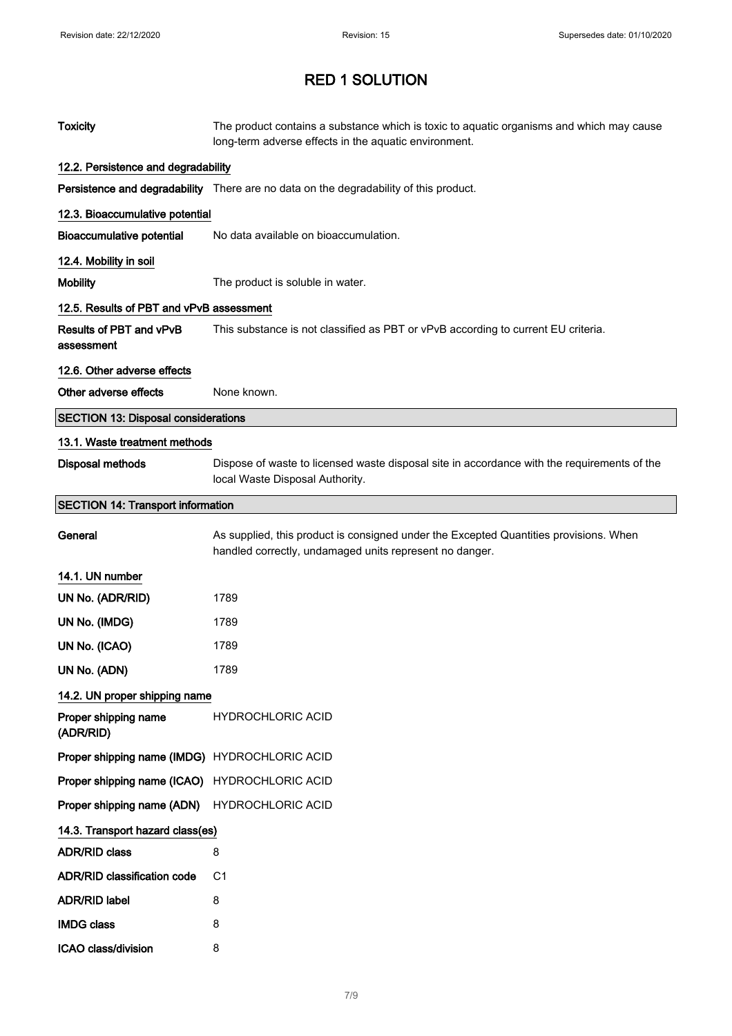| <b>Toxicity</b>                               | The product contains a substance which is toxic to aquatic organisms and which may cause<br>long-term adverse effects in the aquatic environment. |
|-----------------------------------------------|---------------------------------------------------------------------------------------------------------------------------------------------------|
| 12.2. Persistence and degradability           |                                                                                                                                                   |
|                                               | Persistence and degradability There are no data on the degradability of this product.                                                             |
| 12.3. Bioaccumulative potential               |                                                                                                                                                   |
| <b>Bioaccumulative potential</b>              | No data available on bioaccumulation.                                                                                                             |
| 12.4. Mobility in soil                        |                                                                                                                                                   |
| <b>Mobility</b>                               | The product is soluble in water.                                                                                                                  |
| 12.5. Results of PBT and vPvB assessment      |                                                                                                                                                   |
| Results of PBT and vPvB<br>assessment         | This substance is not classified as PBT or vPvB according to current EU criteria.                                                                 |
| 12.6. Other adverse effects                   |                                                                                                                                                   |
| Other adverse effects                         | None known.                                                                                                                                       |
| <b>SECTION 13: Disposal considerations</b>    |                                                                                                                                                   |
| 13.1. Waste treatment methods                 |                                                                                                                                                   |
| <b>Disposal methods</b>                       | Dispose of waste to licensed waste disposal site in accordance with the requirements of the<br>local Waste Disposal Authority.                    |
| <b>SECTION 14: Transport information</b>      |                                                                                                                                                   |
| General                                       | As supplied, this product is consigned under the Excepted Quantities provisions. When<br>handled correctly, undamaged units represent no danger.  |
| 14.1. UN number                               |                                                                                                                                                   |
| UN No. (ADR/RID)                              | 1789                                                                                                                                              |
| UN No. (IMDG)                                 | 1789                                                                                                                                              |
| UN No. (ICAO)                                 | 1789                                                                                                                                              |
| UN No. (ADN)                                  | 1789                                                                                                                                              |
| 14.2. UN proper shipping name                 |                                                                                                                                                   |
| Proper shipping name<br>(ADR/RID)             | <b>HYDROCHLORIC ACID</b>                                                                                                                          |
| Proper shipping name (IMDG) HYDROCHLORIC ACID |                                                                                                                                                   |
| Proper shipping name (ICAO) HYDROCHLORIC ACID |                                                                                                                                                   |
| Proper shipping name (ADN)                    | <b>HYDROCHLORIC ACID</b>                                                                                                                          |
| 14.3. Transport hazard class(es)              |                                                                                                                                                   |
| <b>ADR/RID class</b>                          | 8                                                                                                                                                 |
| <b>ADR/RID classification code</b>            | C1                                                                                                                                                |
| <b>ADR/RID label</b>                          | 8                                                                                                                                                 |
| <b>IMDG class</b>                             | 8                                                                                                                                                 |
| ICAO class/division                           | 8                                                                                                                                                 |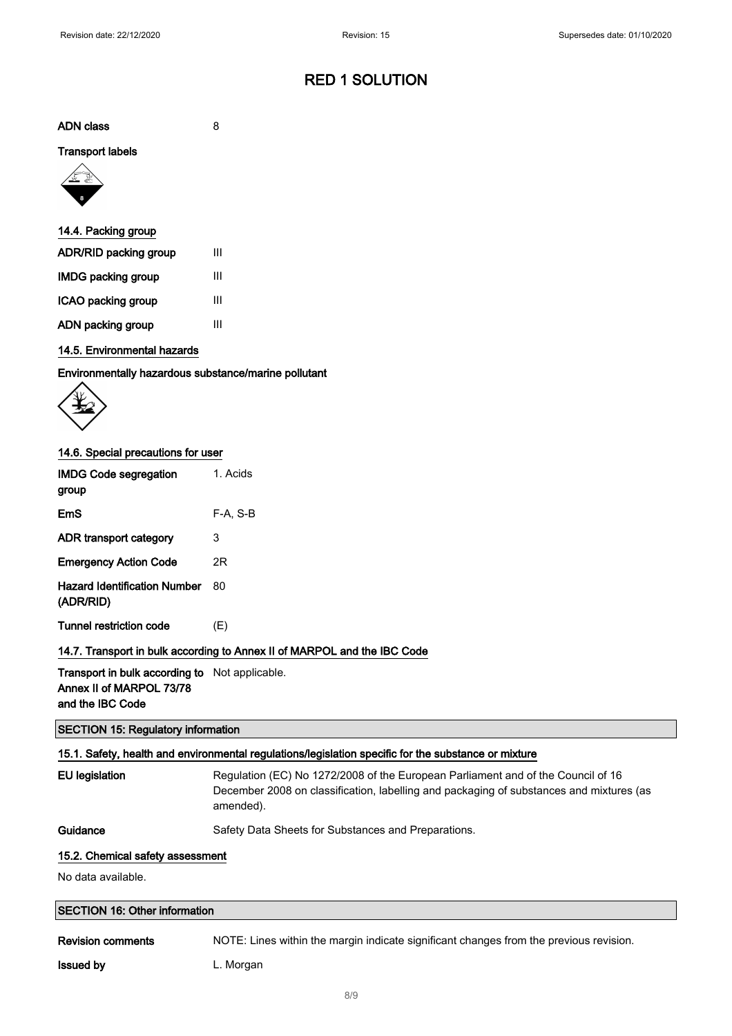ADN class 8

#### Transport labels



| 14.4. Packing group   |   |
|-----------------------|---|
| ADR/RID packing group | Ш |
| IMDG packing group    | Ш |
| ICAO packing group    | Ш |
| ADN packing group     | Ш |

#### 14.5. Environmental hazards

Environmentally hazardous substance/marine pollutant



#### 14.6. Special precautions for user

| <b>IMDG Code segregation</b><br>group     | 1. Acids |
|-------------------------------------------|----------|
| EmS                                       | F-A. S-B |
| ADR transport category                    | 3        |
| <b>Emergency Action Code</b>              | 2R       |
| Hazard Identification Number<br>(ADR/RID) | 80       |
| <b>Tunnel restriction code</b>            | (E)      |

#### 14.7. Transport in bulk according to Annex II of MARPOL and the IBC Code

Transport in bulk according to Not applicable. Annex II of MARPOL 73/78 and the IBC Code

#### SECTION 15: Regulatory information

#### 15.1. Safety, health and environmental regulations/legislation specific for the substance or mixture

| EU legislatic |
|---------------|
|               |

on Regulation (EC) No 1272/2008 of the European Parliament and of the Council of 16 December 2008 on classification, labelling and packaging of substances and mixtures (as amended).

Guidance Safety Data Sheets for Substances and Preparations.

#### 15.2. Chemical safety assessment

No data available.

| <b>SECTION 16: Other information</b> |                                                                                        |  |
|--------------------------------------|----------------------------------------------------------------------------------------|--|
| <b>Revision comments</b>             | NOTE: Lines within the margin indicate significant changes from the previous revision. |  |

**Issued by** L. Morgan